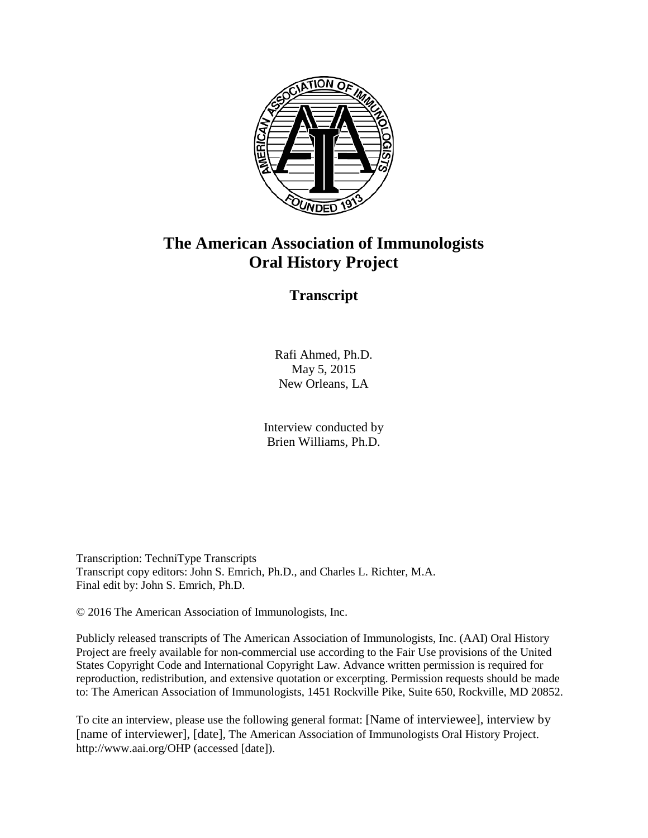

## **The American Association of Immunologists Oral History Project**

## **Transcript**

Rafi Ahmed, Ph.D. May 5, 2015 New Orleans, LA

Interview conducted by Brien Williams, Ph.D.

Transcription: TechniType Transcripts Transcript copy editors: John S. Emrich, Ph.D., and Charles L. Richter, M.A. Final edit by: John S. Emrich, Ph.D.

© 2016 The American Association of Immunologists, Inc.

Publicly released transcripts of The American Association of Immunologists, Inc. (AAI) Oral History Project are freely available for non-commercial use according to the Fair Use provisions of the United States Copyright Code and International Copyright Law. Advance written permission is required for reproduction, redistribution, and extensive quotation or excerpting. Permission requests should be made to: The American Association of Immunologists, 1451 Rockville Pike, Suite 650, Rockville, MD 20852.

To cite an interview, please use the following general format: [Name of interviewee], interview by [name of interviewer], [date], The American Association of Immunologists Oral History Project. http://www.aai.org/OHP (accessed [date]).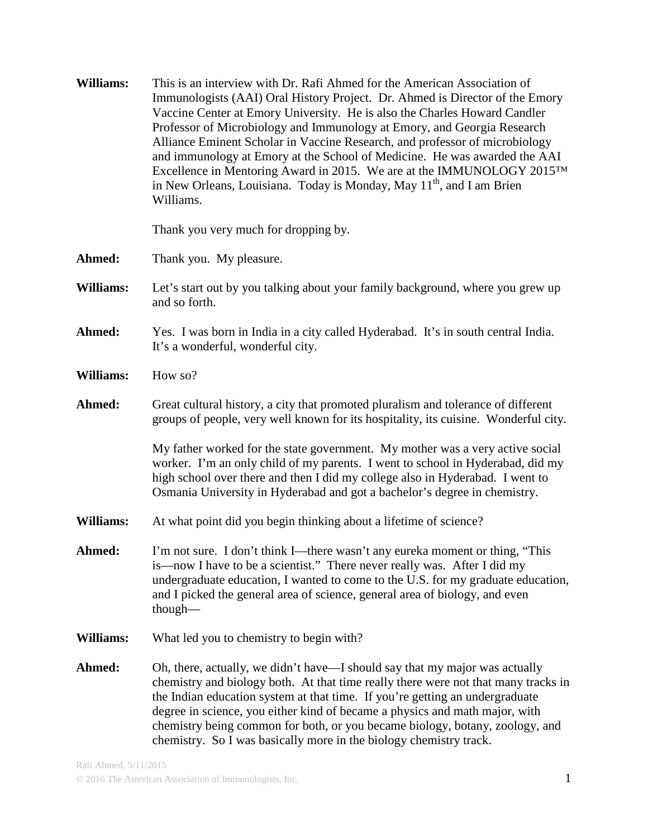| Williams:        | This is an interview with Dr. Rafi Ahmed for the American Association of<br>Immunologists (AAI) Oral History Project. Dr. Ahmed is Director of the Emory<br>Vaccine Center at Emory University. He is also the Charles Howard Candler<br>Professor of Microbiology and Immunology at Emory, and Georgia Research<br>Alliance Eminent Scholar in Vaccine Research, and professor of microbiology<br>and immunology at Emory at the School of Medicine. He was awarded the AAI<br>Excellence in Mentoring Award in 2015. We are at the IMMUNOLOGY 2015TM<br>in New Orleans, Louisiana. Today is Monday, May 11 <sup>th</sup> , and I am Brien<br>Williams. |
|------------------|----------------------------------------------------------------------------------------------------------------------------------------------------------------------------------------------------------------------------------------------------------------------------------------------------------------------------------------------------------------------------------------------------------------------------------------------------------------------------------------------------------------------------------------------------------------------------------------------------------------------------------------------------------|
|                  | Thank you very much for dropping by.                                                                                                                                                                                                                                                                                                                                                                                                                                                                                                                                                                                                                     |
| Ahmed:           | Thank you. My pleasure.                                                                                                                                                                                                                                                                                                                                                                                                                                                                                                                                                                                                                                  |
| Williams:        | Let's start out by you talking about your family background, where you grew up<br>and so forth.                                                                                                                                                                                                                                                                                                                                                                                                                                                                                                                                                          |
| Ahmed:           | Yes. I was born in India in a city called Hyderabad. It's in south central India.<br>It's a wonderful, wonderful city.                                                                                                                                                                                                                                                                                                                                                                                                                                                                                                                                   |
| <b>Williams:</b> | How so?                                                                                                                                                                                                                                                                                                                                                                                                                                                                                                                                                                                                                                                  |
| Ahmed:           | Great cultural history, a city that promoted pluralism and tolerance of different<br>groups of people, very well known for its hospitality, its cuisine. Wonderful city.                                                                                                                                                                                                                                                                                                                                                                                                                                                                                 |
|                  | My father worked for the state government. My mother was a very active social<br>worker. I'm an only child of my parents. I went to school in Hyderabad, did my<br>high school over there and then I did my college also in Hyderabad. I went to<br>Osmania University in Hyderabad and got a bachelor's degree in chemistry.                                                                                                                                                                                                                                                                                                                            |
| Williams:        | At what point did you begin thinking about a lifetime of science?                                                                                                                                                                                                                                                                                                                                                                                                                                                                                                                                                                                        |
| Ahmed:           | I'm not sure. I don't think I—there wasn't any eureka moment or thing, "This<br>is—now I have to be a scientist." There never really was. After I did my<br>undergraduate education, I wanted to come to the U.S. for my graduate education,<br>and I picked the general area of science, general area of biology, and even<br>though-                                                                                                                                                                                                                                                                                                                   |
| Williams:        | What led you to chemistry to begin with?                                                                                                                                                                                                                                                                                                                                                                                                                                                                                                                                                                                                                 |
| Ahmed:           | Oh, there, actually, we didn't have—I should say that my major was actually<br>chemistry and biology both. At that time really there were not that many tracks in<br>the Indian education system at that time. If you're getting an undergraduate<br>degree in science, you either kind of became a physics and math major, with<br>chemistry being common for both, or you became biology, botany, zoology, and<br>chemistry. So I was basically more in the biology chemistry track.                                                                                                                                                                   |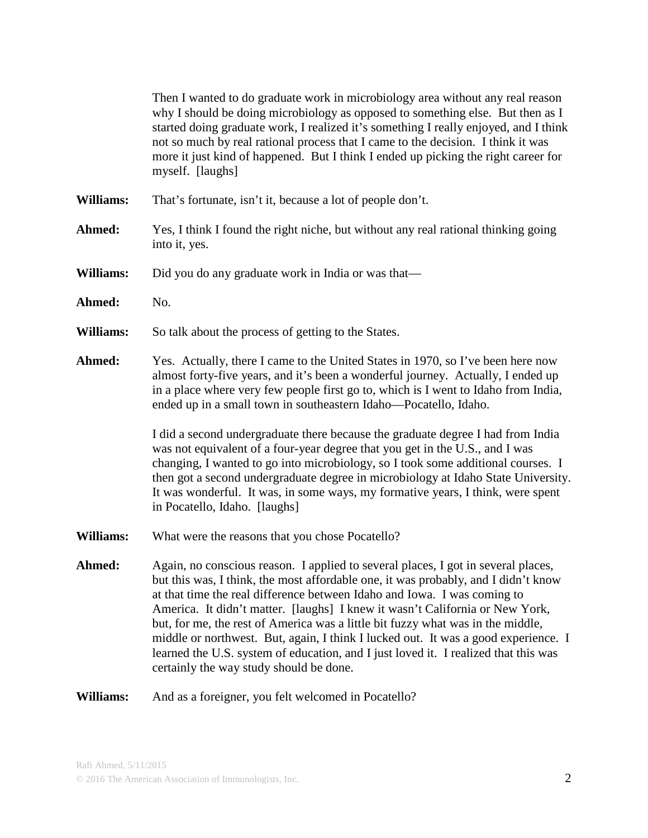Then I wanted to do graduate work in microbiology area without any real reason why I should be doing microbiology as opposed to something else. But then as I started doing graduate work, I realized it's something I really enjoyed, and I think not so much by real rational process that I came to the decision. I think it was more it just kind of happened. But I think I ended up picking the right career for myself. [laughs] **Williams:** That's fortunate, isn't it, because a lot of people don't. **Ahmed:** Yes, I think I found the right niche, but without any real rational thinking going into it, yes. **Williams:** Did you do any graduate work in India or was that— Ahmed: No. Williams: So talk about the process of getting to the States. **Ahmed:** Yes. Actually, there I came to the United States in 1970, so I've been here now almost forty-five years, and it's been a wonderful journey. Actually, I ended up in a place where very few people first go to, which is I went to Idaho from India, ended up in a small town in southeastern Idaho—Pocatello, Idaho. I did a second undergraduate there because the graduate degree I had from India was not equivalent of a four-year degree that you get in the U.S., and I was changing, I wanted to go into microbiology, so I took some additional courses. I then got a second undergraduate degree in microbiology at Idaho State University. It was wonderful. It was, in some ways, my formative years, I think, were spent in Pocatello, Idaho. [laughs] **Williams:** What were the reasons that you chose Pocatello? Ahmed: Again, no conscious reason. I applied to several places, I got in several places, but this was, I think, the most affordable one, it was probably, and I didn't know at that time the real difference between Idaho and Iowa. I was coming to America. It didn't matter. [laughs] I knew it wasn't California or New York, but, for me, the rest of America was a little bit fuzzy what was in the middle, middle or northwest. But, again, I think I lucked out. It was a good experience. I learned the U.S. system of education, and I just loved it. I realized that this was certainly the way study should be done. **Williams:** And as a foreigner, you felt welcomed in Pocatello?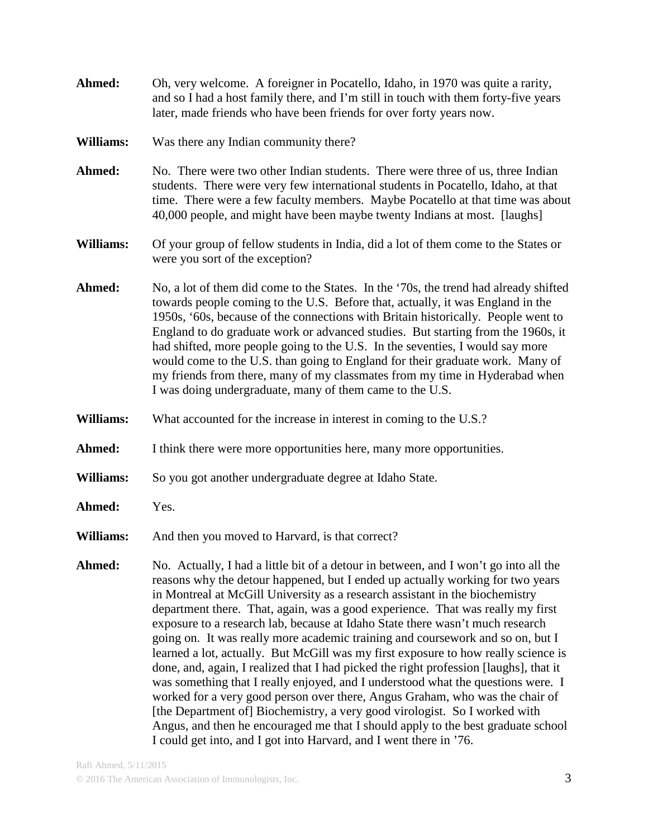- **Ahmed:** Oh, very welcome. A foreigner in Pocatello, Idaho, in 1970 was quite a rarity, and so I had a host family there, and I'm still in touch with them forty-five years later, made friends who have been friends for over forty years now.
- **Williams:** Was there any Indian community there?
- **Ahmed:** No. There were two other Indian students. There were three of us, three Indian students. There were very few international students in Pocatello, Idaho, at that time. There were a few faculty members. Maybe Pocatello at that time was about 40,000 people, and might have been maybe twenty Indians at most. [laughs]
- **Williams:** Of your group of fellow students in India, did a lot of them come to the States or were you sort of the exception?
- **Ahmed:** No, a lot of them did come to the States. In the '70s, the trend had already shifted towards people coming to the U.S. Before that, actually, it was England in the 1950s, '60s, because of the connections with Britain historically. People went to England to do graduate work or advanced studies. But starting from the 1960s, it had shifted, more people going to the U.S. In the seventies, I would say more would come to the U.S. than going to England for their graduate work. Many of my friends from there, many of my classmates from my time in Hyderabad when I was doing undergraduate, many of them came to the U.S.
- **Williams:** What accounted for the increase in interest in coming to the U.S.?
- Ahmed: I think there were more opportunities here, many more opportunities.
- **Williams:** So you got another undergraduate degree at Idaho State.
- **Ahmed:** Yes.
- **Williams:** And then you moved to Harvard, is that correct?
- **Ahmed:** No. Actually, I had a little bit of a detour in between, and I won't go into all the reasons why the detour happened, but I ended up actually working for two years in Montreal at McGill University as a research assistant in the biochemistry department there. That, again, was a good experience. That was really my first exposure to a research lab, because at Idaho State there wasn't much research going on. It was really more academic training and coursework and so on, but I learned a lot, actually. But McGill was my first exposure to how really science is done, and, again, I realized that I had picked the right profession [laughs], that it was something that I really enjoyed, and I understood what the questions were. I worked for a very good person over there, Angus Graham, who was the chair of [the Department of] Biochemistry, a very good virologist. So I worked with Angus, and then he encouraged me that I should apply to the best graduate school I could get into, and I got into Harvard, and I went there in '76.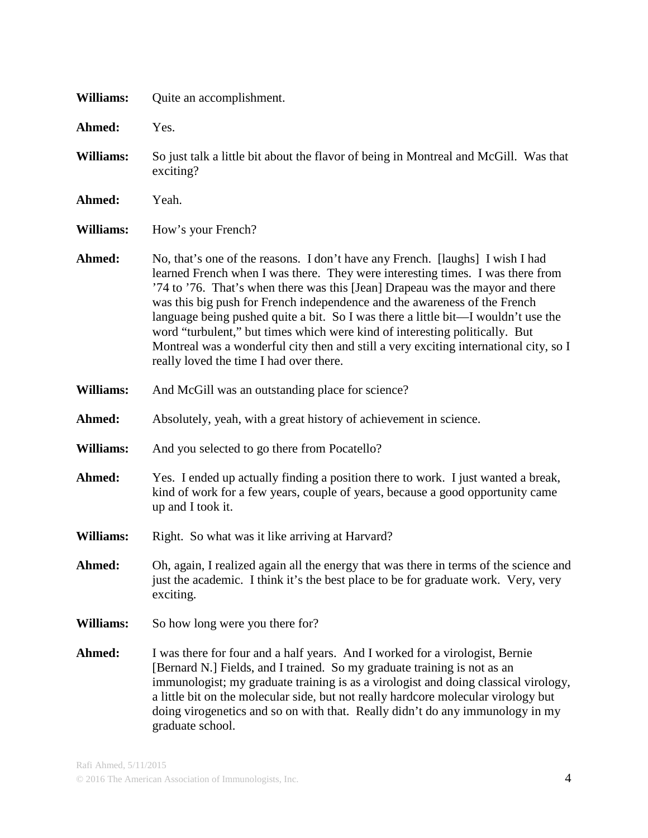| Williams:        | Quite an accomplishment.                                                                                                                                                                                                                                                                                                                                                                                                                                                                                                                                                                                                              |
|------------------|---------------------------------------------------------------------------------------------------------------------------------------------------------------------------------------------------------------------------------------------------------------------------------------------------------------------------------------------------------------------------------------------------------------------------------------------------------------------------------------------------------------------------------------------------------------------------------------------------------------------------------------|
| Ahmed:           | Yes.                                                                                                                                                                                                                                                                                                                                                                                                                                                                                                                                                                                                                                  |
| <b>Williams:</b> | So just talk a little bit about the flavor of being in Montreal and McGill. Was that<br>exciting?                                                                                                                                                                                                                                                                                                                                                                                                                                                                                                                                     |
| Ahmed:           | Yeah.                                                                                                                                                                                                                                                                                                                                                                                                                                                                                                                                                                                                                                 |
| <b>Williams:</b> | How's your French?                                                                                                                                                                                                                                                                                                                                                                                                                                                                                                                                                                                                                    |
| Ahmed:           | No, that's one of the reasons. I don't have any French. [laughs] I wish I had<br>learned French when I was there. They were interesting times. I was there from<br>'74 to '76. That's when there was this [Jean] Drapeau was the mayor and there<br>was this big push for French independence and the awareness of the French<br>language being pushed quite a bit. So I was there a little bit—I wouldn't use the<br>word "turbulent," but times which were kind of interesting politically. But<br>Montreal was a wonderful city then and still a very exciting international city, so I<br>really loved the time I had over there. |
| Williams:        | And McGill was an outstanding place for science?                                                                                                                                                                                                                                                                                                                                                                                                                                                                                                                                                                                      |
| Ahmed:           | Absolutely, yeah, with a great history of achievement in science.                                                                                                                                                                                                                                                                                                                                                                                                                                                                                                                                                                     |
| Williams:        | And you selected to go there from Pocatello?                                                                                                                                                                                                                                                                                                                                                                                                                                                                                                                                                                                          |
| Ahmed:           | Yes. I ended up actually finding a position there to work. I just wanted a break,<br>kind of work for a few years, couple of years, because a good opportunity came<br>up and I took it.                                                                                                                                                                                                                                                                                                                                                                                                                                              |
| Williams:        | Right. So what was it like arriving at Harvard?                                                                                                                                                                                                                                                                                                                                                                                                                                                                                                                                                                                       |
| Ahmed:           | Oh, again, I realized again all the energy that was there in terms of the science and<br>just the academic. I think it's the best place to be for graduate work. Very, very<br>exciting.                                                                                                                                                                                                                                                                                                                                                                                                                                              |
| Williams:        | So how long were you there for?                                                                                                                                                                                                                                                                                                                                                                                                                                                                                                                                                                                                       |
| Ahmed:           | I was there for four and a half years. And I worked for a virologist, Bernie<br>[Bernard N.] Fields, and I trained. So my graduate training is not as an<br>immunologist; my graduate training is as a virologist and doing classical virology,<br>a little bit on the molecular side, but not really hardcore molecular virology but<br>doing virogenetics and so on with that. Really didn't do any immunology in my<br>graduate school.                                                                                                                                                                                            |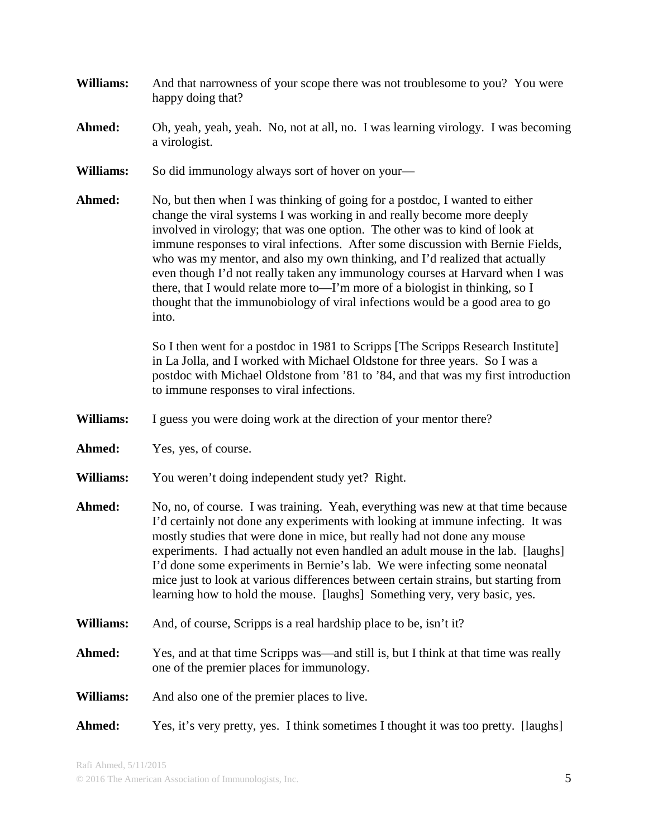- **Williams:** And that narrowness of your scope there was not troublesome to you? You were happy doing that?
- **Ahmed:** Oh, yeah, yeah, yeah. No, not at all, no. I was learning virology. I was becoming a virologist.
- **Williams:** So did immunology always sort of hover on your—
- **Ahmed:** No, but then when I was thinking of going for a postdoc, I wanted to either change the viral systems I was working in and really become more deeply involved in virology; that was one option. The other was to kind of look at immune responses to viral infections. After some discussion with Bernie Fields, who was my mentor, and also my own thinking, and I'd realized that actually even though I'd not really taken any immunology courses at Harvard when I was there, that I would relate more to—I'm more of a biologist in thinking, so I thought that the immunobiology of viral infections would be a good area to go into.

So I then went for a postdoc in 1981 to Scripps [The Scripps Research Institute] in La Jolla, and I worked with Michael Oldstone for three years. So I was a postdoc with Michael Oldstone from '81 to '84, and that was my first introduction to immune responses to viral infections.

- **Williams:** I guess you were doing work at the direction of your mentor there?
- **Ahmed:** Yes, yes, of course.
- **Williams:** You weren't doing independent study yet? Right.
- **Ahmed:** No, no, of course. I was training. Yeah, everything was new at that time because I'd certainly not done any experiments with looking at immune infecting. It was mostly studies that were done in mice, but really had not done any mouse experiments. I had actually not even handled an adult mouse in the lab. [laughs] I'd done some experiments in Bernie's lab. We were infecting some neonatal mice just to look at various differences between certain strains, but starting from learning how to hold the mouse. [laughs] Something very, very basic, yes.
- **Williams:** And, of course, Scripps is a real hardship place to be, isn't it?
- Ahmed: Yes, and at that time Scripps was—and still is, but I think at that time was really one of the premier places for immunology.
- **Williams:** And also one of the premier places to live.
- **Ahmed:** Yes, it's very pretty, yes. I think sometimes I thought it was too pretty. [laughs]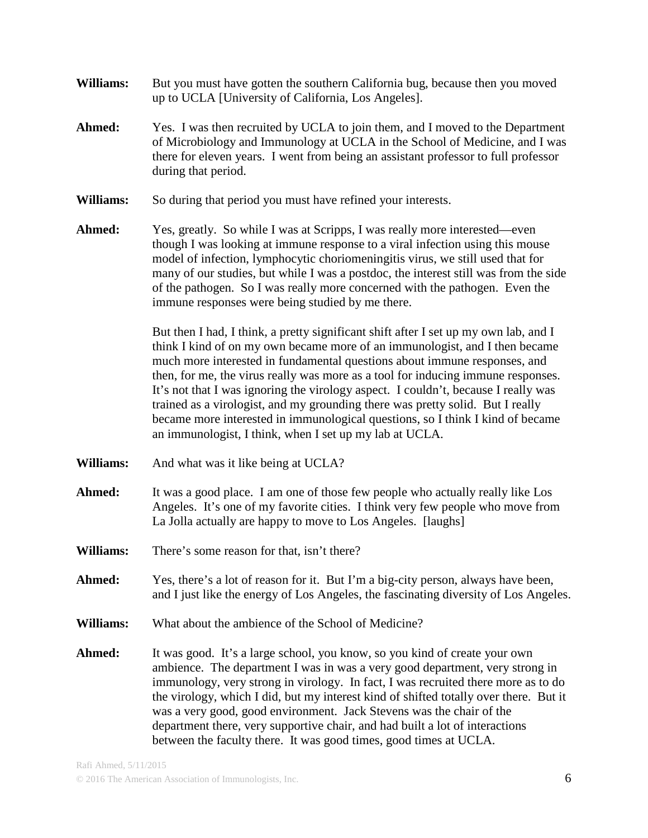- **Williams:** But you must have gotten the southern California bug, because then you moved up to UCLA [University of California, Los Angeles].
- **Ahmed:** Yes. I was then recruited by UCLA to join them, and I moved to the Department of Microbiology and Immunology at UCLA in the School of Medicine, and I was there for eleven years. I went from being an assistant professor to full professor during that period.
- **Williams:** So during that period you must have refined your interests.
- Ahmed: Yes, greatly. So while I was at Scripps, I was really more interested—even though I was looking at immune response to a viral infection using this mouse model of infection, lymphocytic choriomeningitis virus, we still used that for many of our studies, but while I was a postdoc, the interest still was from the side of the pathogen. So I was really more concerned with the pathogen. Even the immune responses were being studied by me there.

But then I had, I think, a pretty significant shift after I set up my own lab, and I think I kind of on my own became more of an immunologist, and I then became much more interested in fundamental questions about immune responses, and then, for me, the virus really was more as a tool for inducing immune responses. It's not that I was ignoring the virology aspect. I couldn't, because I really was trained as a virologist, and my grounding there was pretty solid. But I really became more interested in immunological questions, so I think I kind of became an immunologist, I think, when I set up my lab at UCLA.

- **Williams:** And what was it like being at UCLA?
- **Ahmed:** It was a good place. I am one of those few people who actually really like Los Angeles. It's one of my favorite cities. I think very few people who move from La Jolla actually are happy to move to Los Angeles. [laughs]
- **Williams:** There's some reason for that, isn't there?
- Ahmed: Yes, there's a lot of reason for it. But I'm a big-city person, always have been, and I just like the energy of Los Angeles, the fascinating diversity of Los Angeles.
- **Williams:** What about the ambience of the School of Medicine?
- Ahmed: It was good. It's a large school, you know, so you kind of create your own ambience. The department I was in was a very good department, very strong in immunology, very strong in virology. In fact, I was recruited there more as to do the virology, which I did, but my interest kind of shifted totally over there. But it was a very good, good environment. Jack Stevens was the chair of the department there, very supportive chair, and had built a lot of interactions between the faculty there. It was good times, good times at UCLA.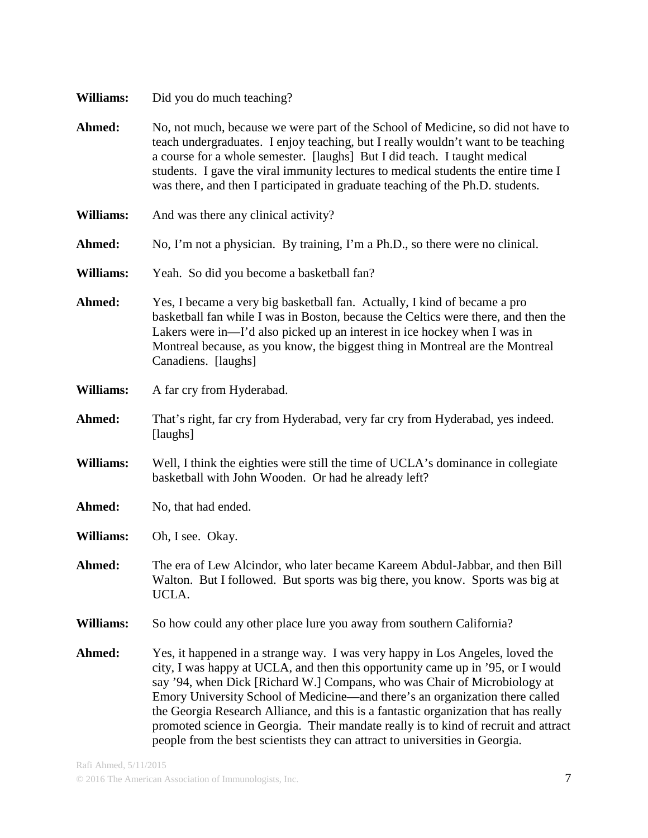| Williams: |  |  | Did you do much teaching? |  |
|-----------|--|--|---------------------------|--|
|-----------|--|--|---------------------------|--|

- Ahmed: No, not much, because we were part of the School of Medicine, so did not have to teach undergraduates. I enjoy teaching, but I really wouldn't want to be teaching a course for a whole semester. [laughs] But I did teach. I taught medical students. I gave the viral immunity lectures to medical students the entire time I was there, and then I participated in graduate teaching of the Ph.D. students.
- **Williams:** And was there any clinical activity?
- **Ahmed:** No, I'm not a physician. By training, I'm a Ph.D., so there were no clinical.
- **Williams:** Yeah. So did you become a basketball fan?
- **Ahmed:** Yes, I became a very big basketball fan. Actually, I kind of became a pro basketball fan while I was in Boston, because the Celtics were there, and then the Lakers were in—I'd also picked up an interest in ice hockey when I was in Montreal because, as you know, the biggest thing in Montreal are the Montreal Canadiens. [laughs]
- **Williams:** A far cry from Hyderabad.
- **Ahmed:** That's right, far cry from Hyderabad, very far cry from Hyderabad, yes indeed. [laughs]
- **Williams:** Well, I think the eighties were still the time of UCLA's dominance in collegiate basketball with John Wooden. Or had he already left?
- Ahmed: No, that had ended.
- **Williams:** Oh, I see. Okay.
- **Ahmed:** The era of Lew Alcindor, who later became Kareem Abdul-Jabbar, and then Bill Walton. But I followed. But sports was big there, you know. Sports was big at UCLA.
- **Williams:** So how could any other place lure you away from southern California?
- **Ahmed:** Yes, it happened in a strange way. I was very happy in Los Angeles, loved the city, I was happy at UCLA, and then this opportunity came up in '95, or I would say '94, when Dick [Richard W.] Compans, who was Chair of Microbiology at Emory University School of Medicine—and there's an organization there called the Georgia Research Alliance, and this is a fantastic organization that has really promoted science in Georgia. Their mandate really is to kind of recruit and attract people from the best scientists they can attract to universities in Georgia.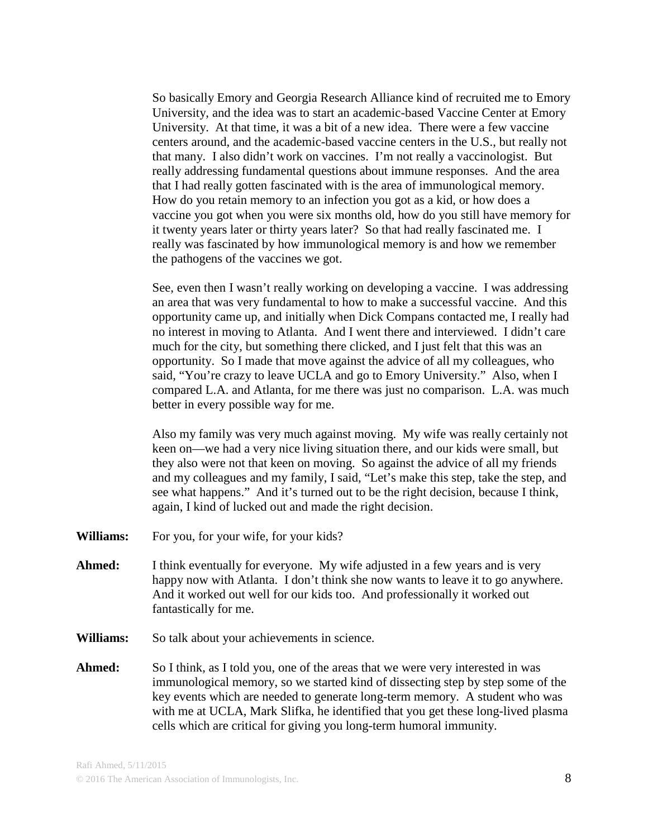So basically Emory and Georgia Research Alliance kind of recruited me to Emory University, and the idea was to start an academic-based Vaccine Center at Emory University. At that time, it was a bit of a new idea. There were a few vaccine centers around, and the academic-based vaccine centers in the U.S., but really not that many. I also didn't work on vaccines. I'm not really a vaccinologist. But really addressing fundamental questions about immune responses. And the area that I had really gotten fascinated with is the area of immunological memory. How do you retain memory to an infection you got as a kid, or how does a vaccine you got when you were six months old, how do you still have memory for it twenty years later or thirty years later? So that had really fascinated me. I really was fascinated by how immunological memory is and how we remember the pathogens of the vaccines we got.

See, even then I wasn't really working on developing a vaccine. I was addressing an area that was very fundamental to how to make a successful vaccine. And this opportunity came up, and initially when Dick Compans contacted me, I really had no interest in moving to Atlanta. And I went there and interviewed. I didn't care much for the city, but something there clicked, and I just felt that this was an opportunity. So I made that move against the advice of all my colleagues, who said, "You're crazy to leave UCLA and go to Emory University." Also, when I compared L.A. and Atlanta, for me there was just no comparison. L.A. was much better in every possible way for me.

Also my family was very much against moving. My wife was really certainly not keen on—we had a very nice living situation there, and our kids were small, but they also were not that keen on moving. So against the advice of all my friends and my colleagues and my family, I said, "Let's make this step, take the step, and see what happens." And it's turned out to be the right decision, because I think, again, I kind of lucked out and made the right decision.

- **Williams:** For you, for your wife, for your kids?
- Ahmed: I think eventually for everyone. My wife adjusted in a few years and is very happy now with Atlanta. I don't think she now wants to leave it to go anywhere. And it worked out well for our kids too. And professionally it worked out fantastically for me.
- **Williams:** So talk about your achievements in science.
- **Ahmed:** So I think, as I told you, one of the areas that we were very interested in was immunological memory, so we started kind of dissecting step by step some of the key events which are needed to generate long-term memory. A student who was with me at UCLA, Mark Slifka, he identified that you get these long-lived plasma cells which are critical for giving you long-term humoral immunity.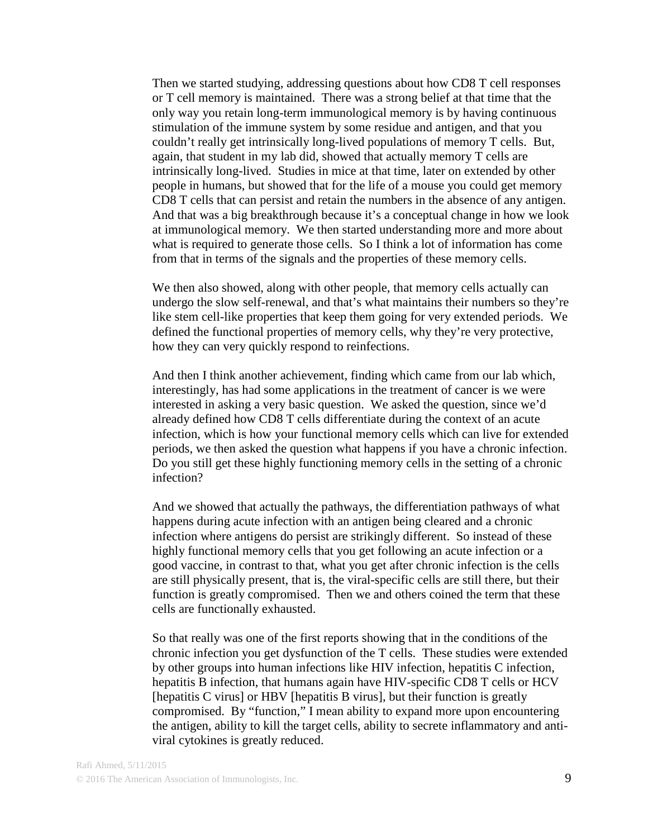Then we started studying, addressing questions about how CD8 T cell responses or T cell memory is maintained. There was a strong belief at that time that the only way you retain long-term immunological memory is by having continuous stimulation of the immune system by some residue and antigen, and that you couldn't really get intrinsically long-lived populations of memory T cells. But, again, that student in my lab did, showed that actually memory T cells are intrinsically long-lived. Studies in mice at that time, later on extended by other people in humans, but showed that for the life of a mouse you could get memory CD8 T cells that can persist and retain the numbers in the absence of any antigen. And that was a big breakthrough because it's a conceptual change in how we look at immunological memory. We then started understanding more and more about what is required to generate those cells. So I think a lot of information has come from that in terms of the signals and the properties of these memory cells.

We then also showed, along with other people, that memory cells actually can undergo the slow self-renewal, and that's what maintains their numbers so they're like stem cell-like properties that keep them going for very extended periods. We defined the functional properties of memory cells, why they're very protective, how they can very quickly respond to reinfections.

And then I think another achievement, finding which came from our lab which, interestingly, has had some applications in the treatment of cancer is we were interested in asking a very basic question. We asked the question, since we'd already defined how CD8 T cells differentiate during the context of an acute infection, which is how your functional memory cells which can live for extended periods, we then asked the question what happens if you have a chronic infection. Do you still get these highly functioning memory cells in the setting of a chronic infection?

And we showed that actually the pathways, the differentiation pathways of what happens during acute infection with an antigen being cleared and a chronic infection where antigens do persist are strikingly different. So instead of these highly functional memory cells that you get following an acute infection or a good vaccine, in contrast to that, what you get after chronic infection is the cells are still physically present, that is, the viral-specific cells are still there, but their function is greatly compromised. Then we and others coined the term that these cells are functionally exhausted.

So that really was one of the first reports showing that in the conditions of the chronic infection you get dysfunction of the T cells. These studies were extended by other groups into human infections like HIV infection, hepatitis C infection, hepatitis B infection, that humans again have HIV-specific CD8 T cells or HCV [hepatitis C virus] or HBV [hepatitis B virus], but their function is greatly compromised. By "function," I mean ability to expand more upon encountering the antigen, ability to kill the target cells, ability to secrete inflammatory and antiviral cytokines is greatly reduced.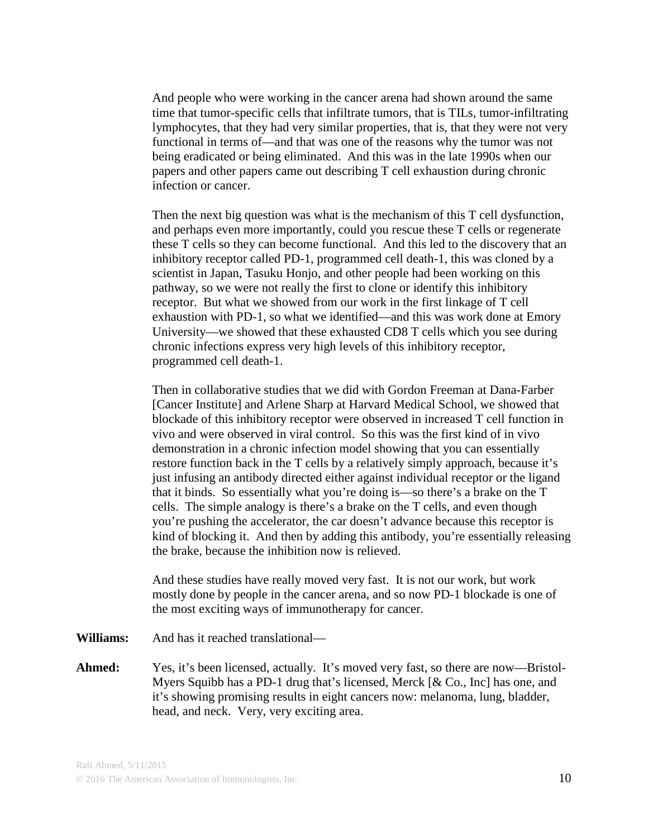And people who were working in the cancer arena had shown around the same time that tumor-specific cells that infiltrate tumors, that is TILs, tumor-infiltrating lymphocytes, that they had very similar properties, that is, that they were not very functional in terms of—and that was one of the reasons why the tumor was not being eradicated or being eliminated. And this was in the late 1990s when our papers and other papers came out describing T cell exhaustion during chronic infection or cancer.

Then the next big question was what is the mechanism of this T cell dysfunction, and perhaps even more importantly, could you rescue these T cells or regenerate these T cells so they can become functional. And this led to the discovery that an inhibitory receptor called PD-1, programmed cell death-1, this was cloned by a scientist in Japan, Tasuku Honjo, and other people had been working on this pathway, so we were not really the first to clone or identify this inhibitory receptor. But what we showed from our work in the first linkage of T cell exhaustion with PD-1, so what we identified—and this was work done at Emory University—we showed that these exhausted CD8 T cells which you see during chronic infections express very high levels of this inhibitory receptor, programmed cell death-1.

Then in collaborative studies that we did with Gordon Freeman at Dana-Farber [Cancer Institute] and Arlene Sharp at Harvard Medical School, we showed that blockade of this inhibitory receptor were observed in increased T cell function in vivo and were observed in viral control. So this was the first kind of in vivo demonstration in a chronic infection model showing that you can essentially restore function back in the T cells by a relatively simply approach, because it's just infusing an antibody directed either against individual receptor or the ligand that it binds. So essentially what you're doing is—so there's a brake on the T cells. The simple analogy is there's a brake on the T cells, and even though you're pushing the accelerator, the car doesn't advance because this receptor is kind of blocking it. And then by adding this antibody, you're essentially releasing the brake, because the inhibition now is relieved.

And these studies have really moved very fast. It is not our work, but work mostly done by people in the cancer arena, and so now PD-1 blockade is one of the most exciting ways of immunotherapy for cancer.

**Williams:** And has it reached translational—

**Ahmed:** Yes, it's been licensed, actually. It's moved very fast, so there are now—Bristol-Myers Squibb has a PD-1 drug that's licensed, Merck [& Co., Inc] has one, and it's showing promising results in eight cancers now: melanoma, lung, bladder, head, and neck. Very, very exciting area.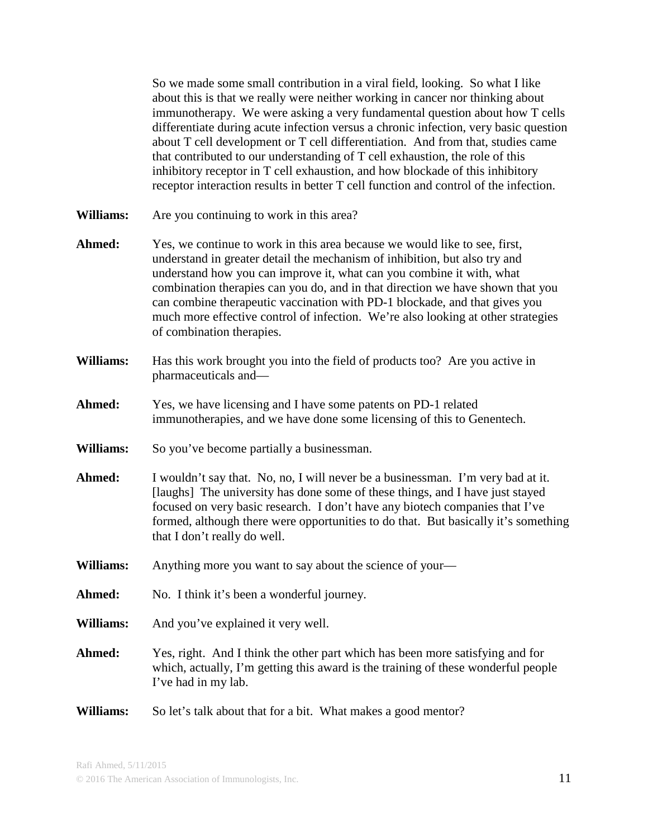So we made some small contribution in a viral field, looking. So what I like about this is that we really were neither working in cancer nor thinking about immunotherapy. We were asking a very fundamental question about how T cells differentiate during acute infection versus a chronic infection, very basic question about T cell development or T cell differentiation. And from that, studies came that contributed to our understanding of T cell exhaustion, the role of this inhibitory receptor in T cell exhaustion, and how blockade of this inhibitory receptor interaction results in better T cell function and control of the infection.

- **Williams:** Are you continuing to work in this area?
- Ahmed: Yes, we continue to work in this area because we would like to see, first, understand in greater detail the mechanism of inhibition, but also try and understand how you can improve it, what can you combine it with, what combination therapies can you do, and in that direction we have shown that you can combine therapeutic vaccination with PD-1 blockade, and that gives you much more effective control of infection. We're also looking at other strategies of combination therapies.
- **Williams:** Has this work brought you into the field of products too? Are you active in pharmaceuticals and—
- **Ahmed:** Yes, we have licensing and I have some patents on PD-1 related immunotherapies, and we have done some licensing of this to Genentech.
- **Williams:** So you've become partially a businessman.
- **Ahmed:** I wouldn't say that. No, no, I will never be a businessman. I'm very bad at it. [laughs] The university has done some of these things, and I have just stayed focused on very basic research. I don't have any biotech companies that I've formed, although there were opportunities to do that. But basically it's something that I don't really do well.
- **Williams:** Anything more you want to say about the science of your—
- Ahmed: No. I think it's been a wonderful journey.
- **Williams:** And you've explained it very well.
- **Ahmed:** Yes, right. And I think the other part which has been more satisfying and for which, actually, I'm getting this award is the training of these wonderful people I've had in my lab.
- **Williams:** So let's talk about that for a bit. What makes a good mentor?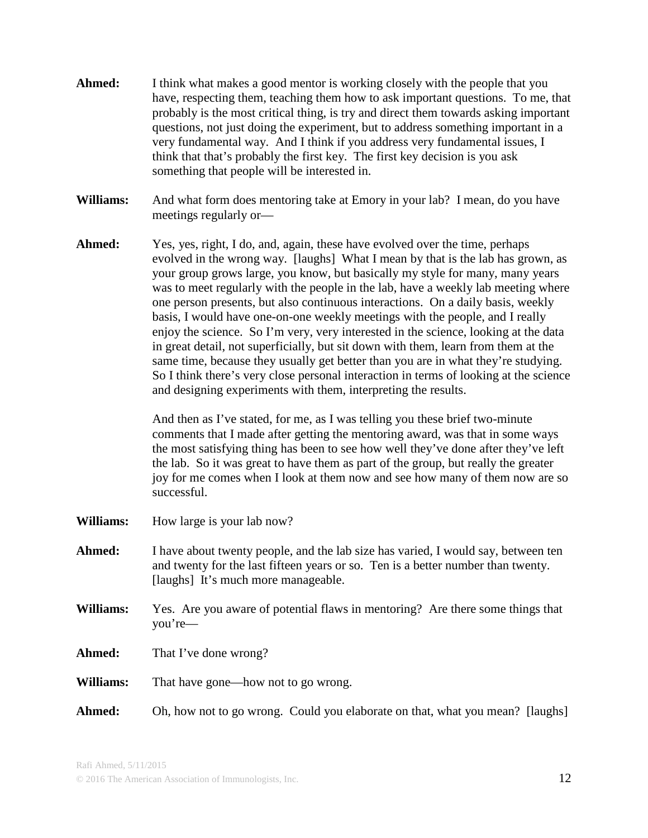- **Ahmed:** I think what makes a good mentor is working closely with the people that you have, respecting them, teaching them how to ask important questions. To me, that probably is the most critical thing, is try and direct them towards asking important questions, not just doing the experiment, but to address something important in a very fundamental way. And I think if you address very fundamental issues, I think that that's probably the first key. The first key decision is you ask something that people will be interested in.
- **Williams:** And what form does mentoring take at Emory in your lab? I mean, do you have meetings regularly or—
- **Ahmed:** Yes, yes, right, I do, and, again, these have evolved over the time, perhaps evolved in the wrong way. [laughs] What I mean by that is the lab has grown, as your group grows large, you know, but basically my style for many, many years was to meet regularly with the people in the lab, have a weekly lab meeting where one person presents, but also continuous interactions. On a daily basis, weekly basis, I would have one-on-one weekly meetings with the people, and I really enjoy the science. So I'm very, very interested in the science, looking at the data in great detail, not superficially, but sit down with them, learn from them at the same time, because they usually get better than you are in what they're studying. So I think there's very close personal interaction in terms of looking at the science and designing experiments with them, interpreting the results.

And then as I've stated, for me, as I was telling you these brief two-minute comments that I made after getting the mentoring award, was that in some ways the most satisfying thing has been to see how well they've done after they've left the lab. So it was great to have them as part of the group, but really the greater joy for me comes when I look at them now and see how many of them now are so successful.

- **Williams:** How large is your lab now?
- Ahmed: I have about twenty people, and the lab size has varied, I would say, between ten and twenty for the last fifteen years or so. Ten is a better number than twenty. [laughs] It's much more manageable.
- **Williams:** Yes. Are you aware of potential flaws in mentoring? Are there some things that you're—
- **Ahmed:** That I've done wrong?
- **Williams:** That have gone—how not to go wrong.
- **Ahmed:** Oh, how not to go wrong. Could you elaborate on that, what you mean? [laughs]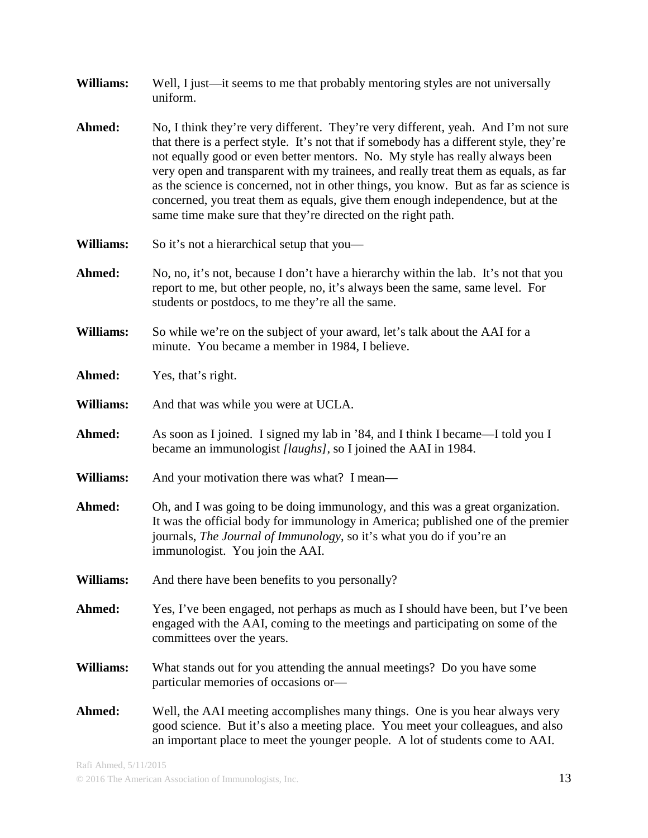| Williams:        | Well, I just—it seems to me that probably mentoring styles are not universally<br>uniform.                                                                                                                                                                                                                                                                                                                                                                                                                                                                                                     |  |  |
|------------------|------------------------------------------------------------------------------------------------------------------------------------------------------------------------------------------------------------------------------------------------------------------------------------------------------------------------------------------------------------------------------------------------------------------------------------------------------------------------------------------------------------------------------------------------------------------------------------------------|--|--|
| Ahmed:           | No, I think they're very different. They're very different, yeah. And I'm not sure<br>that there is a perfect style. It's not that if somebody has a different style, they're<br>not equally good or even better mentors. No. My style has really always been<br>very open and transparent with my trainees, and really treat them as equals, as far<br>as the science is concerned, not in other things, you know. But as far as science is<br>concerned, you treat them as equals, give them enough independence, but at the<br>same time make sure that they're directed on the right path. |  |  |
| Williams:        | So it's not a hierarchical setup that you—                                                                                                                                                                                                                                                                                                                                                                                                                                                                                                                                                     |  |  |
| Ahmed:           | No, no, it's not, because I don't have a hierarchy within the lab. It's not that you<br>report to me, but other people, no, it's always been the same, same level. For<br>students or postdocs, to me they're all the same.                                                                                                                                                                                                                                                                                                                                                                    |  |  |
| Williams:        | So while we're on the subject of your award, let's talk about the AAI for a<br>minute. You became a member in 1984, I believe.                                                                                                                                                                                                                                                                                                                                                                                                                                                                 |  |  |
| Ahmed:           | Yes, that's right.                                                                                                                                                                                                                                                                                                                                                                                                                                                                                                                                                                             |  |  |
| Williams:        | And that was while you were at UCLA.                                                                                                                                                                                                                                                                                                                                                                                                                                                                                                                                                           |  |  |
| Ahmed:           | As soon as I joined. I signed my lab in '84, and I think I became—I told you I<br>became an immunologist [laughs], so I joined the AAI in 1984.                                                                                                                                                                                                                                                                                                                                                                                                                                                |  |  |
| Williams:        | And your motivation there was what? I mean—                                                                                                                                                                                                                                                                                                                                                                                                                                                                                                                                                    |  |  |
| Ahmed:           | Oh, and I was going to be doing immunology, and this was a great organization.<br>It was the official body for immunology in America; published one of the premier<br>journals, The Journal of Immunology, so it's what you do if you're an<br>immunologist. You join the AAI.                                                                                                                                                                                                                                                                                                                 |  |  |
| <b>Williams:</b> | And there have been benefits to you personally?                                                                                                                                                                                                                                                                                                                                                                                                                                                                                                                                                |  |  |
| Ahmed:           | Yes, I've been engaged, not perhaps as much as I should have been, but I've been<br>engaged with the AAI, coming to the meetings and participating on some of the<br>committees over the years.                                                                                                                                                                                                                                                                                                                                                                                                |  |  |
| <b>Williams:</b> | What stands out for you attending the annual meetings? Do you have some<br>particular memories of occasions or-                                                                                                                                                                                                                                                                                                                                                                                                                                                                                |  |  |
| Ahmed:           | Well, the AAI meeting accomplishes many things. One is you hear always very<br>good science. But it's also a meeting place. You meet your colleagues, and also<br>an important place to meet the younger people. A lot of students come to AAI.                                                                                                                                                                                                                                                                                                                                                |  |  |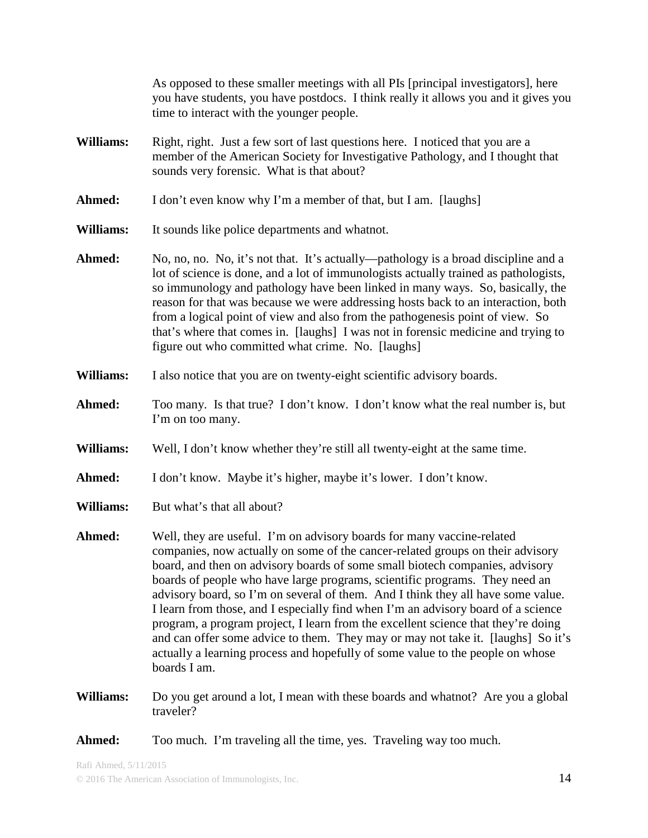As opposed to these smaller meetings with all PIs [principal investigators], here you have students, you have postdocs. I think really it allows you and it gives you time to interact with the younger people.

- **Williams:** Right, right. Just a few sort of last questions here. I noticed that you are a member of the American Society for Investigative Pathology, and I thought that sounds very forensic. What is that about?
- **Ahmed:** I don't even know why I'm a member of that, but I am. [laughs]
- **Williams:** It sounds like police departments and whatnot.
- Ahmed: No, no, no. No, it's not that. It's actually—pathology is a broad discipline and a lot of science is done, and a lot of immunologists actually trained as pathologists, so immunology and pathology have been linked in many ways. So, basically, the reason for that was because we were addressing hosts back to an interaction, both from a logical point of view and also from the pathogenesis point of view. So that's where that comes in. [laughs] I was not in forensic medicine and trying to figure out who committed what crime. No. [laughs]
- **Williams:** I also notice that you are on twenty-eight scientific advisory boards.
- **Ahmed:** Too many. Is that true? I don't know. I don't know what the real number is, but I'm on too many.
- **Williams:** Well, I don't know whether they're still all twenty-eight at the same time.
- **Ahmed:** I don't know. Maybe it's higher, maybe it's lower. I don't know.
- **Williams:** But what's that all about?
- **Ahmed:** Well, they are useful. I'm on advisory boards for many vaccine-related companies, now actually on some of the cancer-related groups on their advisory board, and then on advisory boards of some small biotech companies, advisory boards of people who have large programs, scientific programs. They need an advisory board, so I'm on several of them. And I think they all have some value. I learn from those, and I especially find when I'm an advisory board of a science program, a program project, I learn from the excellent science that they're doing and can offer some advice to them. They may or may not take it. [laughs] So it's actually a learning process and hopefully of some value to the people on whose boards I am.
- **Williams:** Do you get around a lot, I mean with these boards and whatnot? Are you a global traveler?
- **Ahmed:** Too much. I'm traveling all the time, yes. Traveling way too much.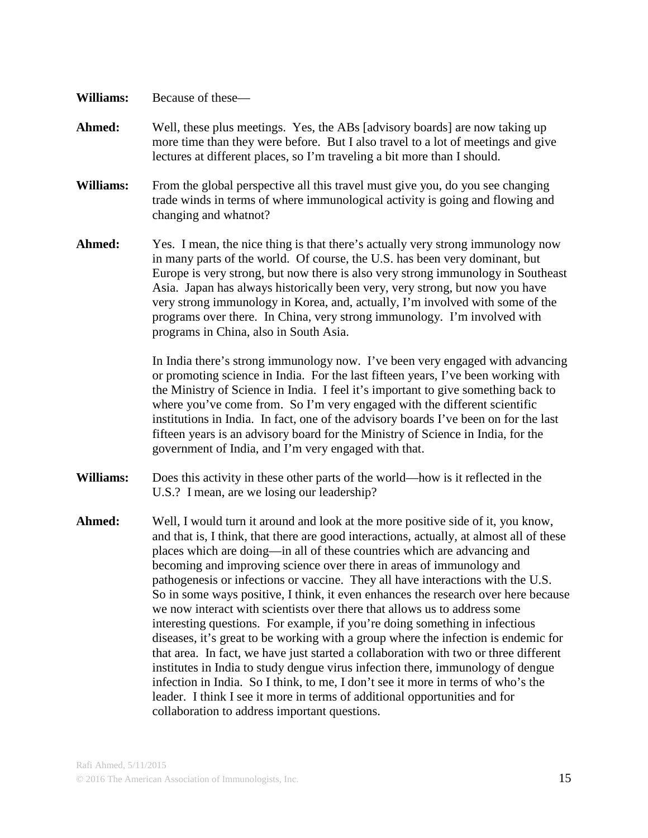- **Williams:** Because of these—
- **Ahmed:** Well, these plus meetings. Yes, the ABs [advisory boards] are now taking up more time than they were before. But I also travel to a lot of meetings and give lectures at different places, so I'm traveling a bit more than I should.
- **Williams:** From the global perspective all this travel must give you, do you see changing trade winds in terms of where immunological activity is going and flowing and changing and whatnot?
- Ahmed: Yes. I mean, the nice thing is that there's actually very strong immunology now in many parts of the world. Of course, the U.S. has been very dominant, but Europe is very strong, but now there is also very strong immunology in Southeast Asia. Japan has always historically been very, very strong, but now you have very strong immunology in Korea, and, actually, I'm involved with some of the programs over there. In China, very strong immunology. I'm involved with programs in China, also in South Asia.

In India there's strong immunology now. I've been very engaged with advancing or promoting science in India. For the last fifteen years, I've been working with the Ministry of Science in India. I feel it's important to give something back to where you've come from. So I'm very engaged with the different scientific institutions in India. In fact, one of the advisory boards I've been on for the last fifteen years is an advisory board for the Ministry of Science in India, for the government of India, and I'm very engaged with that.

- **Williams:** Does this activity in these other parts of the world—how is it reflected in the U.S.? I mean, are we losing our leadership?
- **Ahmed:** Well, I would turn it around and look at the more positive side of it, you know, and that is, I think, that there are good interactions, actually, at almost all of these places which are doing—in all of these countries which are advancing and becoming and improving science over there in areas of immunology and pathogenesis or infections or vaccine. They all have interactions with the U.S. So in some ways positive, I think, it even enhances the research over here because we now interact with scientists over there that allows us to address some interesting questions. For example, if you're doing something in infectious diseases, it's great to be working with a group where the infection is endemic for that area. In fact, we have just started a collaboration with two or three different institutes in India to study dengue virus infection there, immunology of dengue infection in India. So I think, to me, I don't see it more in terms of who's the leader. I think I see it more in terms of additional opportunities and for collaboration to address important questions.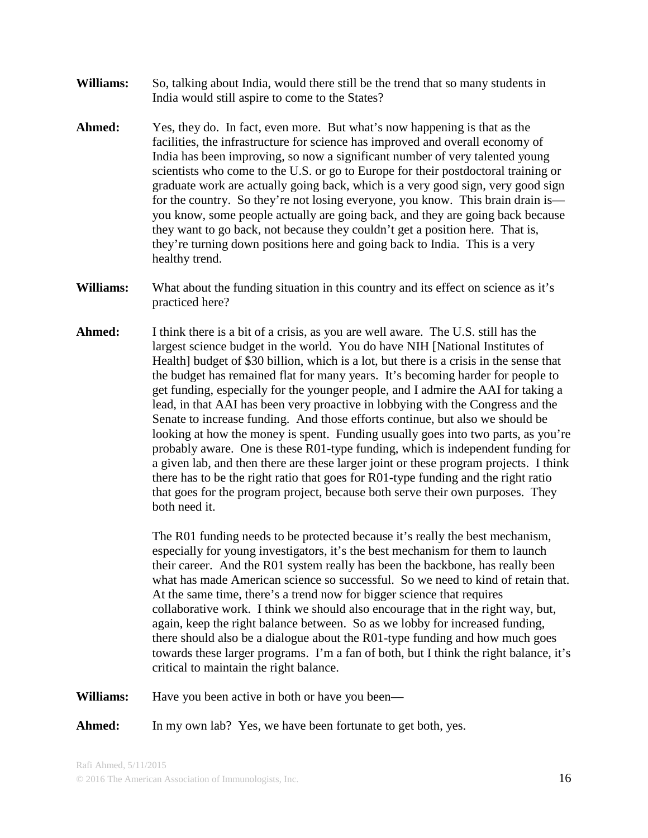- **Williams:** So, talking about India, would there still be the trend that so many students in India would still aspire to come to the States?
- **Ahmed:** Yes, they do. In fact, even more. But what's now happening is that as the facilities, the infrastructure for science has improved and overall economy of India has been improving, so now a significant number of very talented young scientists who come to the U.S. or go to Europe for their postdoctoral training or graduate work are actually going back, which is a very good sign, very good sign for the country. So they're not losing everyone, you know. This brain drain is you know, some people actually are going back, and they are going back because they want to go back, not because they couldn't get a position here. That is, they're turning down positions here and going back to India. This is a very healthy trend.
- **Williams:** What about the funding situation in this country and its effect on science as it's practiced here?
- **Ahmed:** I think there is a bit of a crisis, as you are well aware. The U.S. still has the largest science budget in the world. You do have NIH [National Institutes of Health] budget of \$30 billion, which is a lot, but there is a crisis in the sense that the budget has remained flat for many years. It's becoming harder for people to get funding, especially for the younger people, and I admire the AAI for taking a lead, in that AAI has been very proactive in lobbying with the Congress and the Senate to increase funding. And those efforts continue, but also we should be looking at how the money is spent. Funding usually goes into two parts, as you're probably aware. One is these R01-type funding, which is independent funding for a given lab, and then there are these larger joint or these program projects. I think there has to be the right ratio that goes for R01-type funding and the right ratio that goes for the program project, because both serve their own purposes. They both need it.

The R01 funding needs to be protected because it's really the best mechanism, especially for young investigators, it's the best mechanism for them to launch their career. And the R01 system really has been the backbone, has really been what has made American science so successful. So we need to kind of retain that. At the same time, there's a trend now for bigger science that requires collaborative work. I think we should also encourage that in the right way, but, again, keep the right balance between. So as we lobby for increased funding, there should also be a dialogue about the R01-type funding and how much goes towards these larger programs. I'm a fan of both, but I think the right balance, it's critical to maintain the right balance.

**Williams:** Have you been active in both or have you been—

Ahmed: In my own lab? Yes, we have been fortunate to get both, yes.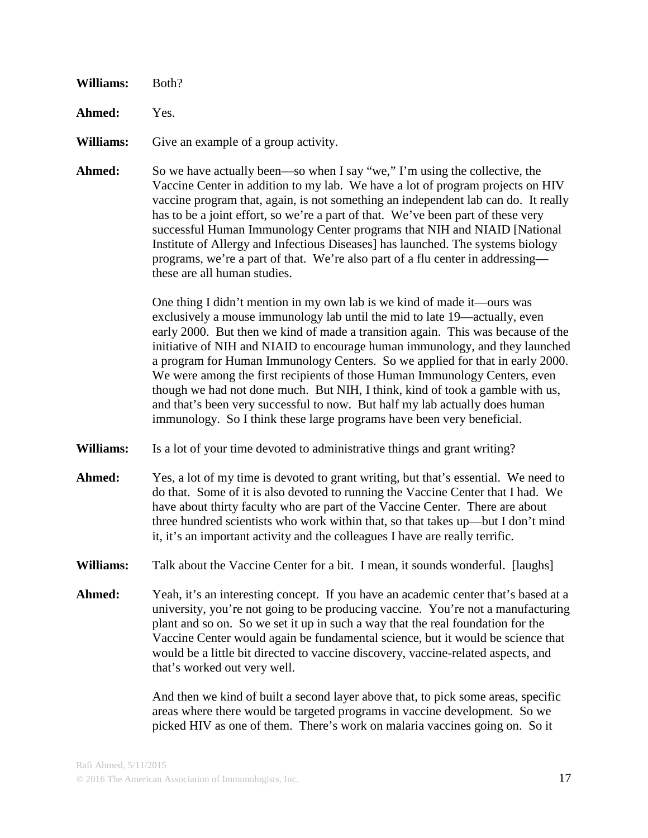| Williams: | Both? |  |
|-----------|-------|--|
|           |       |  |

**Ahmed:** Yes.

**Williams:** Give an example of a group activity.

**Ahmed:** So we have actually been—so when I say "we," I'm using the collective, the Vaccine Center in addition to my lab. We have a lot of program projects on HIV vaccine program that, again, is not something an independent lab can do. It really has to be a joint effort, so we're a part of that. We've been part of these very successful Human Immunology Center programs that NIH and NIAID [National Institute of Allergy and Infectious Diseases] has launched. The systems biology programs, we're a part of that. We're also part of a flu center in addressing these are all human studies.

> One thing I didn't mention in my own lab is we kind of made it—ours was exclusively a mouse immunology lab until the mid to late 19—actually, even early 2000. But then we kind of made a transition again. This was because of the initiative of NIH and NIAID to encourage human immunology, and they launched a program for Human Immunology Centers. So we applied for that in early 2000. We were among the first recipients of those Human Immunology Centers, even though we had not done much. But NIH, I think, kind of took a gamble with us, and that's been very successful to now. But half my lab actually does human immunology. So I think these large programs have been very beneficial.

- **Williams:** Is a lot of your time devoted to administrative things and grant writing?
- Ahmed: Yes, a lot of my time is devoted to grant writing, but that's essential. We need to do that. Some of it is also devoted to running the Vaccine Center that I had. We have about thirty faculty who are part of the Vaccine Center. There are about three hundred scientists who work within that, so that takes up—but I don't mind it, it's an important activity and the colleagues I have are really terrific.
- **Williams:** Talk about the Vaccine Center for a bit. I mean, it sounds wonderful. [laughs]
- **Ahmed:** Yeah, it's an interesting concept. If you have an academic center that's based at a university, you're not going to be producing vaccine. You're not a manufacturing plant and so on. So we set it up in such a way that the real foundation for the Vaccine Center would again be fundamental science, but it would be science that would be a little bit directed to vaccine discovery, vaccine-related aspects, and that's worked out very well.

And then we kind of built a second layer above that, to pick some areas, specific areas where there would be targeted programs in vaccine development. So we picked HIV as one of them. There's work on malaria vaccines going on. So it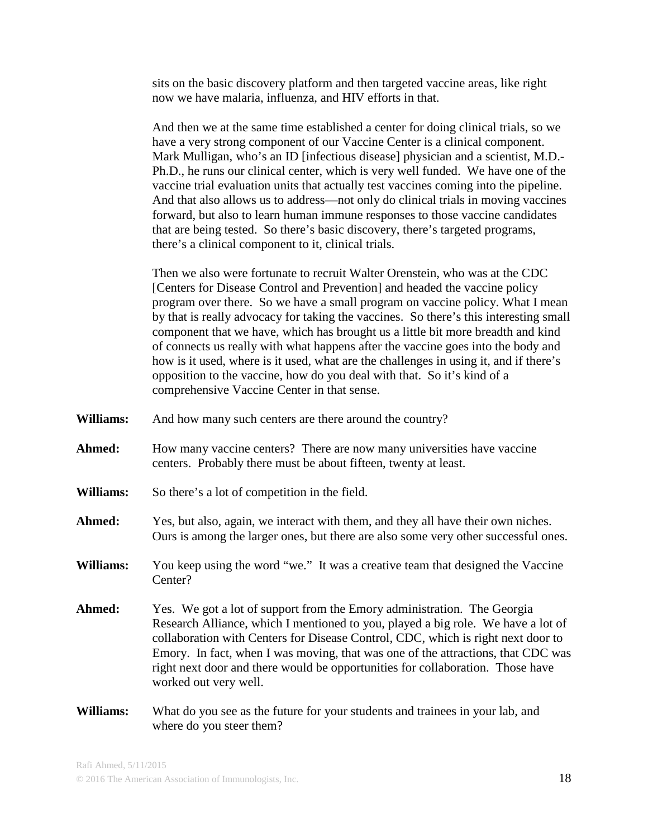sits on the basic discovery platform and then targeted vaccine areas, like right now we have malaria, influenza, and HIV efforts in that.

And then we at the same time established a center for doing clinical trials, so we have a very strong component of our Vaccine Center is a clinical component. Mark Mulligan, who's an ID [infectious disease] physician and a scientist, M.D.- Ph.D., he runs our clinical center, which is very well funded. We have one of the vaccine trial evaluation units that actually test vaccines coming into the pipeline. And that also allows us to address—not only do clinical trials in moving vaccines forward, but also to learn human immune responses to those vaccine candidates that are being tested. So there's basic discovery, there's targeted programs, there's a clinical component to it, clinical trials.

Then we also were fortunate to recruit Walter Orenstein, who was at the CDC [Centers for Disease Control and Prevention] and headed the vaccine policy program over there. So we have a small program on vaccine policy. What I mean by that is really advocacy for taking the vaccines. So there's this interesting small component that we have, which has brought us a little bit more breadth and kind of connects us really with what happens after the vaccine goes into the body and how is it used, where is it used, what are the challenges in using it, and if there's opposition to the vaccine, how do you deal with that. So it's kind of a comprehensive Vaccine Center in that sense.

- **Williams:** And how many such centers are there around the country?
- **Ahmed:** How many vaccine centers? There are now many universities have vaccine centers. Probably there must be about fifteen, twenty at least.
- **Williams:** So there's a lot of competition in the field.
- **Ahmed:** Yes, but also, again, we interact with them, and they all have their own niches. Ours is among the larger ones, but there are also some very other successful ones.
- **Williams:** You keep using the word "we." It was a creative team that designed the Vaccine Center?
- Ahmed: Yes. We got a lot of support from the Emory administration. The Georgia Research Alliance, which I mentioned to you, played a big role. We have a lot of collaboration with Centers for Disease Control, CDC, which is right next door to Emory. In fact, when I was moving, that was one of the attractions, that CDC was right next door and there would be opportunities for collaboration. Those have worked out very well.
- **Williams:** What do you see as the future for your students and trainees in your lab, and where do you steer them?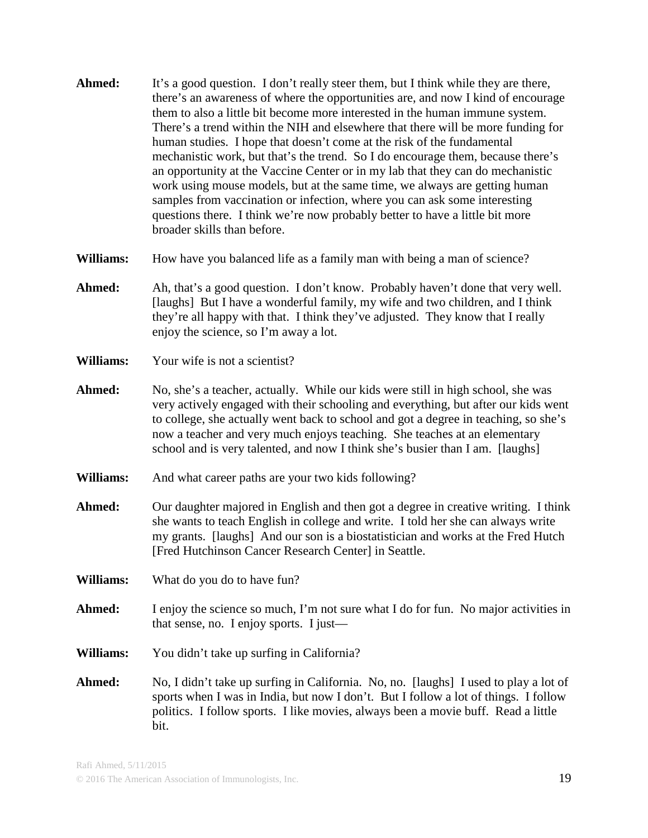- **Ahmed:** It's a good question. I don't really steer them, but I think while they are there, there's an awareness of where the opportunities are, and now I kind of encourage them to also a little bit become more interested in the human immune system. There's a trend within the NIH and elsewhere that there will be more funding for human studies. I hope that doesn't come at the risk of the fundamental mechanistic work, but that's the trend. So I do encourage them, because there's an opportunity at the Vaccine Center or in my lab that they can do mechanistic work using mouse models, but at the same time, we always are getting human samples from vaccination or infection, where you can ask some interesting questions there. I think we're now probably better to have a little bit more broader skills than before.
- **Williams:** How have you balanced life as a family man with being a man of science?
- **Ahmed:** Ah, that's a good question. I don't know. Probably haven't done that very well. [laughs] But I have a wonderful family, my wife and two children, and I think they're all happy with that. I think they've adjusted. They know that I really enjoy the science, so I'm away a lot.
- **Williams:** Your wife is not a scientist?
- **Ahmed:** No, she's a teacher, actually. While our kids were still in high school, she was very actively engaged with their schooling and everything, but after our kids went to college, she actually went back to school and got a degree in teaching, so she's now a teacher and very much enjoys teaching. She teaches at an elementary school and is very talented, and now I think she's busier than I am. [laughs]
- **Williams:** And what career paths are your two kids following?
- **Ahmed:** Our daughter majored in English and then got a degree in creative writing. I think she wants to teach English in college and write. I told her she can always write my grants. [laughs] And our son is a biostatistician and works at the Fred Hutch [Fred Hutchinson Cancer Research Center] in Seattle.
- **Williams:** What do you do to have fun?
- Ahmed: I enjoy the science so much, I'm not sure what I do for fun. No major activities in that sense, no. I enjoy sports. I just—
- **Williams:** You didn't take up surfing in California?
- **Ahmed:** No, I didn't take up surfing in California. No, no. [laughs] I used to play a lot of sports when I was in India, but now I don't. But I follow a lot of things. I follow politics. I follow sports. I like movies, always been a movie buff. Read a little bit.